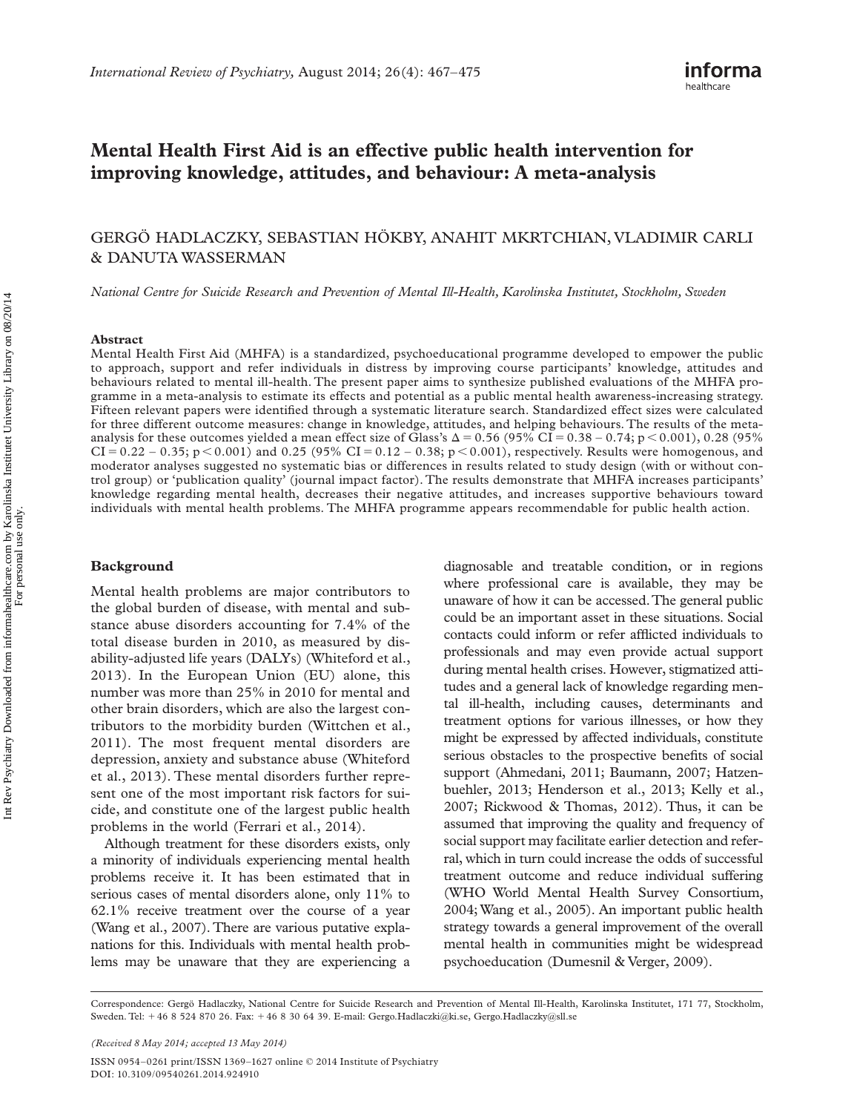# **Mental Health First Aid is an effective public health intervention for improving knowledge, attitudes, and behaviour: A meta-analysis**

## GERG Ö HADLACZKY , SEBASTIAN H Ö KBY , ANAHIT MKRTCHIAN , VLADIMIR CARLI & DANUTA WASSERMAN

*National Centre for Suicide Research and Prevention of Mental Ill-Health, Karolinska Institutet, Stockholm, Sweden* 

#### **Abstract**

Mental Health First Aid (MHFA) is a standardized, psychoeducational programme developed to empower the public to approach, support and refer individuals in distress by improving course participants' knowledge, attitudes and behaviours related to mental ill-health. The present paper aims to synthesize published evaluations of the MHFA programme in a meta-analysis to estimate its effects and potential as a public mental health awareness-increasing strategy. Fifteen relevant papers were identified through a systematic literature search. Standardized effect sizes were calculated for three different outcome measures: change in knowledge, attitudes, and helping behaviours. The results of the metaanalysis for these outcomes yielded a mean effect size of Glass's  $\Delta = 0.56$  (95% CI = 0.38 – 0.74; p < 0.001), 0.28 (95%  $CI = 0.22 - 0.35$ ; p  $\lt 0.001$  and 0.25 (95%  $CI = 0.12 - 0.38$ ; p  $\lt 0.001$ ), respectively. Results were homogenous, and moderator analyses suggested no systematic bias or differences in results related to study design (with or without control group) or 'publication quality' (journal impact factor). The results demonstrate that MHFA increases participants' knowledge regarding mental health, decreases their negative attitudes, and increases supportive behaviours toward individuals with mental health problems. The MHFA programme appears recommendable for public health action.

### **Background**

Mental health problems are major contributors to the global burden of disease, with mental and substance abuse disorders accounting for 7.4% of the total disease burden in 2010, as measured by disability-adjusted life years (DALYs) (Whiteford et al., 2013). In the European Union (EU) alone, this number was more than 25% in 2010 for mental and other brain disorders, which are also the largest contributors to the morbidity burden (Wittchen et al., 2011). The most frequent mental disorders are depression, anxiety and substance abuse (Whiteford et al., 2013). These mental disorders further represent one of the most important risk factors for suicide, and constitute one of the largest public health problems in the world (Ferrari et al., 2014).

Although treatment for these disorders exists, only a minority of individuals experiencing mental health problems receive it. It has been estimated that in serious cases of mental disorders alone, only 11% to 62.1% receive treatment over the course of a year (Wang et al., 2007). There are various putative explanations for this. Individuals with mental health problems may be unaware that they are experiencing a

diagnosable and treatable condition, or in regions where professional care is available, they may be unaware of how it can be accessed. The general public could be an important asset in these situations. Social contacts could inform or refer afflicted individuals to professionals and may even provide actual support during mental health crises. However, stigmatized attitudes and a general lack of knowledge regarding mental ill-health, including causes, determinants and treatment options for various illnesses, or how they might be expressed by affected individuals, constitute serious obstacles to the prospective benefits of social support (Ahmedani, 2011; Baumann, 2007; Hatzenbuehler, 2013; Henderson et al., 2013; Kelly et al., 2007; Rickwood & Thomas, 2012). Thus, it can be assumed that improving the quality and frequency of social support may facilitate earlier detection and referral, which in turn could increase the odds of successful treatment outcome and reduce individual suffering (WHO World Mental Health Survey Consortium, 2004; Wang et al., 2005). An important public health strategy towards a general improvement of the overall mental health in communities might be widespread psychoeducation (Dumesnil & Verger, 2009).

Correspondence: Gergö Hadlaczky, National Centre for Suicide Research and Prevention of Mental Ill-Health, Karolinska Institutet, 171 77, Stockholm, Sweden. Tel: +46 8 524 870 26. Fax: +46 8 30 64 39. E-mail: Gergo.Hadlaczki@ki.se, Gergo.Hadlaczky@sll.se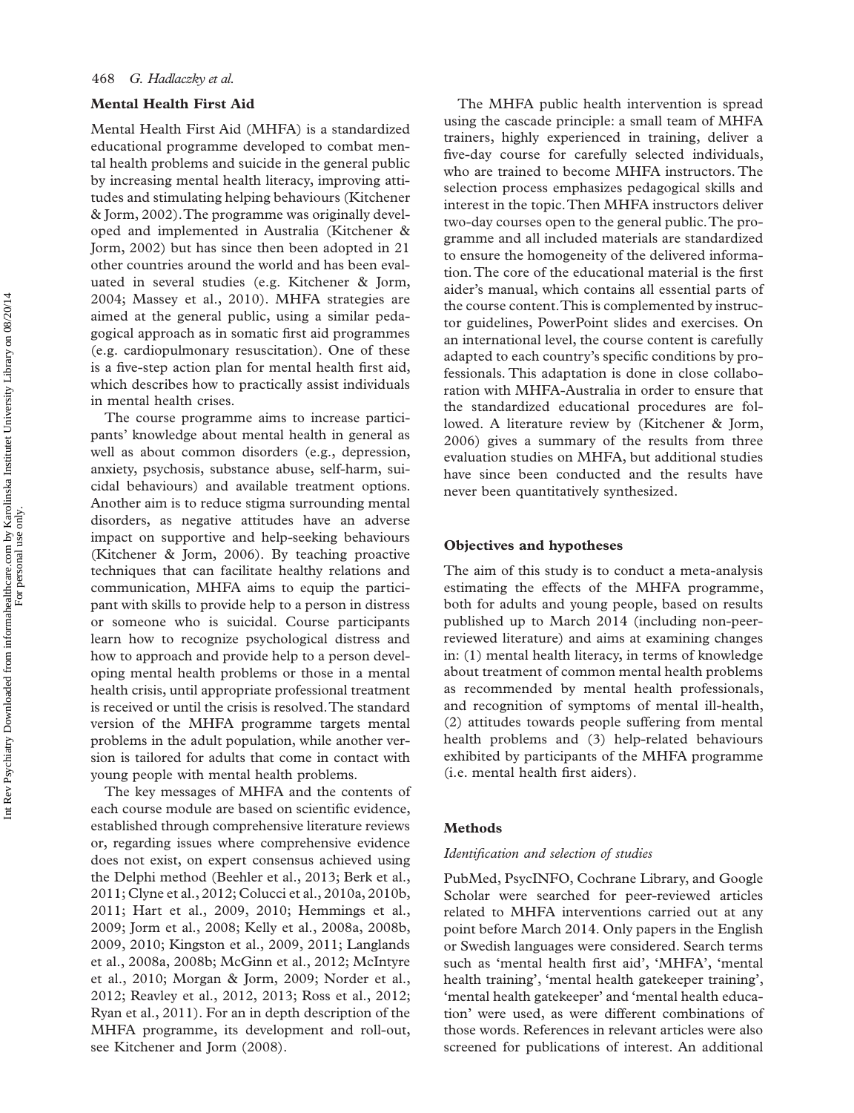## **Mental Health First Aid**

Mental Health First Aid (MHFA) is a standardized educational programme developed to combat mental health problems and suicide in the general public by increasing mental health literacy, improving attitudes and stimulating helping behaviours (Kitchener &Jorm, 2002). The programme was originally developed and implemented in Australia (Kitchener & Jorm, 2002) but has since then been adopted in 21 other countries around the world and has been evaluated in several studies (e.g. Kitchener & Jorm, 2004; Massey et al., 2010). MHFA strategies are aimed at the general public, using a similar pedagogical approach as in somatic first aid programmes (e.g. cardiopulmonary resuscitation). One of these is a five-step action plan for mental health first aid, which describes how to practically assist individuals in mental health crises.

The course programme aims to increase participants' knowledge about mental health in general as well as about common disorders (e.g., depression, anxiety, psychosis, substance abuse, self-harm, suicidal behaviours) and available treatment options. Another aim is to reduce stigma surrounding mental disorders, as negative attitudes have an adverse impact on supportive and help-seeking behaviours (Kitchener & Jorm, 2006). By teaching proactive techniques that can facilitate healthy relations and communication, MHFA aims to equip the participant with skills to provide help to a person in distress or someone who is suicidal. Course participants learn how to recognize psychological distress and how to approach and provide help to a person developing mental health problems or those in a mental health crisis, until appropriate professional treatment is received or until the crisis is resolved. The standard version of the MHFA programme targets mental problems in the adult population, while another version is tailored for adults that come in contact with young people with mental health problems.

The key messages of MHFA and the contents of each course module are based on scientific evidence, established through comprehensive literature reviews or, regarding issues where comprehensive evidence does not exist, on expert consensus achieved using the Delphi method (Beehler et al., 2013; Berk et al., 2011; Clyne et al., 2012; Colucci et al., 2010a, 2010b, 2011; Hart et al., 2009, 2010; Hemmings et al., 2009; Jorm et al., 2008; Kelly et al., 2008a, 2008b, 2009, 2010; Kingston et al., 2009, 2011; Langlands et al., 2008a, 2008b; McGinn et al., 2012; McIntyre et al., 2010; Morgan & Jorm, 2009; Norder et al., 2012; Reavley et al., 2012, 2013; Ross et al., 2012; Ryan et al., 2011). For an in depth description of the MHFA programme, its development and roll-out, see Kitchener and Jorm (2008).

The MHFA public health intervention is spread using the cascade principle: a small team of MHFA trainers, highly experienced in training, deliver a five-day course for carefully selected individuals, who are trained to become MHFA instructors. The selection process emphasizes pedagogical skills and interest in the topic. Then MHFA instructors deliver two-day courses open to the general public. The programme and all included materials are standardized to ensure the homogeneity of the delivered information. The core of the educational material is the first aider's manual, which contains all essential parts of the course content. This is complemented by instructor guidelines, PowerPoint slides and exercises. On an international level, the course content is carefully adapted to each country's specific conditions by professionals. This adaptation is done in close collaboration with MHFA-Australia in order to ensure that the standardized educational procedures are followed. A literature review by (Kitchener & Jorm, 2006) gives a summary of the results from three evaluation studies on MHFA, but additional studies have since been conducted and the results have never been quantitatively synthesized.

## **Objectives and hypotheses**

The aim of this study is to conduct a meta-analysis estimating the effects of the MHFA programme, both for adults and young people, based on results published up to March 2014 (including non-peerreviewed literature) and aims at examining changes in: (1) mental health literacy, in terms of knowledge about treatment of common mental health problems as recommended by mental health professionals, and recognition of symptoms of mental ill-health, (2) attitudes towards people suffering from mental health problems and (3) help-related behaviours exhibited by participants of the MHFA programme (i.e. mental health first aiders).

## **Methods**

### *Identifi cation and selection of studies*

PubMed, PsycINFO, Cochrane Library, and Google Scholar were searched for peer-reviewed articles related to MHFA interventions carried out at any point before March 2014. Only papers in the English or Swedish languages were considered. Search terms such as 'mental health first aid', 'MHFA', 'mental health training', 'mental health gatekeeper training', ' mental health gatekeeper 'and ' mental health education' were used, as were different combinations of those words. References in relevant articles were also screened for publications of interest. An additional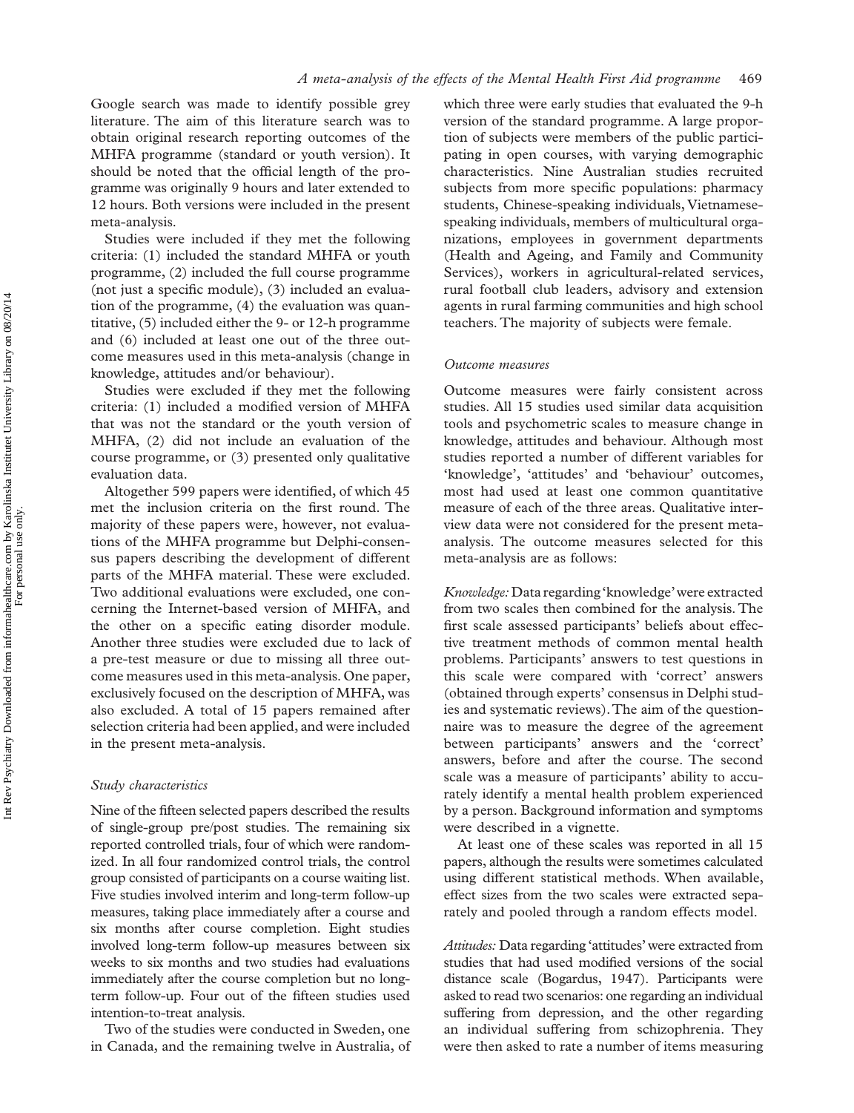Google search was made to identify possible grey literature. The aim of this literature search was to obtain original research reporting outcomes of the MHFA programme (standard or youth version). It should be noted that the official length of the programme was originally 9 hours and later extended to 12 hours. Both versions were included in the present meta-analysis.

Studies were included if they met the following criteria: (1) included the standard MHFA or youth programme, (2) included the full course programme (not just a specific module), (3) included an evaluation of the programme, (4) the evaluation was quantitative, (5) included either the 9- or 12-h programme and (6) included at least one out of the three outcome measures used in this meta-analysis (change in knowledge, attitudes and/or behaviour).

Studies were excluded if they met the following criteria: (1) included a modified version of MHFA that was not the standard or the youth version of MHFA, (2) did not include an evaluation of the course programme, or (3) presented only qualitative evaluation data.

Altogether 599 papers were identified, of which 45 met the inclusion criteria on the first round. The majority of these papers were, however, not evaluations of the MHFA programme but Delphi-consensus papers describing the development of different parts of the MHFA material. These were excluded. Two additional evaluations were excluded, one concerning the Internet-based version of MHFA, and the other on a specific eating disorder module. Another three studies were excluded due to lack of a pre-test measure or due to missing all three outcome measures used in this meta-analysis. One paper, exclusively focused on the description of MHFA, was also excluded. A total of 15 papers remained after selection criteria had been applied, and were included in the present meta-analysis.

#### *Study characteristics*

Nine of the fifteen selected papers described the results of single-group pre/post studies. The remaining six reported controlled trials, four of which were randomized. In all four randomized control trials, the control group consisted of participants on a course waiting list. Five studies involved interim and long-term follow-up measures, taking place immediately after a course and six months after course completion. Eight studies involved long-term follow-up measures between six weeks to six months and two studies had evaluations immediately after the course completion but no longterm follow-up. Four out of the fifteen studies used intention-to-treat analysis.

Two of the studies were conducted in Sweden, one in Canada, and the remaining twelve in Australia, of

which three were early studies that evaluated the 9-h version of the standard programme. A large proportion of subjects were members of the public participating in open courses, with varying demographic characteristics. Nine Australian studies recruited subjects from more specific populations: pharmacy students, Chinese-speaking individuals, Vietnamesespeaking individuals, members of multicultural organizations, employees in government departments (Health and Ageing, and Family and Community Services), workers in agricultural-related services, rural football club leaders, advisory and extension agents in rural farming communities and high school teachers. The majority of subjects were female.

## *Outcome measures*

Outcome measures were fairly consistent across studies. All 15 studies used similar data acquisition tools and psychometric scales to measure change in knowledge, attitudes and behaviour. Although most studies reported a number of different variables for 'knowledge', 'attitudes' and 'behaviour' outcomes, most had used at least one common quantitative measure of each of the three areas. Qualitative interview data were not considered for the present metaanalysis. The outcome measures selected for this meta-analysis are as follows:

*Knowledge:* Data regarding ' knowledge 'were extracted from two scales then combined for the analysis. The first scale assessed participants' beliefs about effective treatment methods of common mental health problems. Participants' answers to test questions in this scale were compared with 'correct' answers (obtained through experts 'consensus in Delphi studies and systematic reviews). The aim of the questionnaire was to measure the degree of the agreement between participants' answers and the 'correct' answers, before and after the course. The second scale was a measure of participants' ability to accurately identify a mental health problem experienced by a person. Background information and symptoms were described in a vignette.

At least one of these scales was reported in all 15 papers, although the results were sometimes calculated using different statistical methods. When available, effect sizes from the two scales were extracted separately and pooled through a random effects model.

Attitudes: Data regarding 'attitudes' were extracted from studies that had used modified versions of the social distance scale (Bogardus, 1947). Participants were asked to read two scenarios: one regarding an individual suffering from depression, and the other regarding an individual suffering from schizophrenia. They were then asked to rate a number of items measuring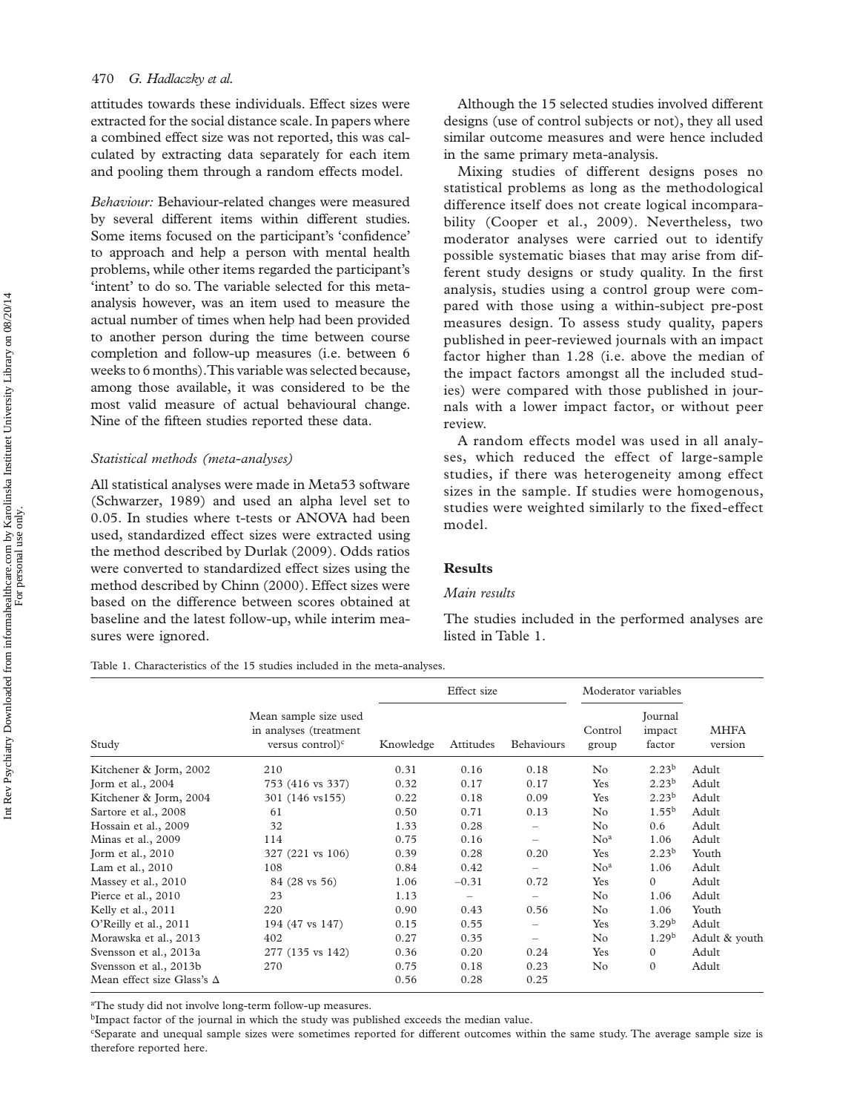attitudes towards these individuals. Effect sizes were extracted for the social distance scale. In papers where a combined effect size was not reported, this was calculated by extracting data separately for each item and pooling them through a random effects model.

*Behaviour:* Behaviour-related changes were measured by several different items within different studies. Some items focused on the participant's 'confidence' to approach and help a person with mental health problems, while other items regarded the participant's 'intent' to do so. The variable selected for this metaanalysis however, was an item used to measure the actual number of times when help had been provided to another person during the time between course completion and follow-up measures (i.e. between 6 weeks to 6 months). This variable was selected because, among those available, it was considered to be the most valid measure of actual behavioural change. Nine of the fifteen studies reported these data.

### *Statistical methods (meta-analyses)*

All statistical analyses were made in Meta53 software (Schwarzer, 1989) and used an alpha level set to 0.05. In studies where t-tests or ANOVA had been used, standardized effect sizes were extracted using the method described by Durlak (2009). Odds ratios were converted to standardized effect sizes using the method described by Chinn (2000). Effect sizes were based on the difference between scores obtained at baseline and the latest follow-up, while interim measures were ignored.

Although the 15 selected studies involved different designs (use of control subjects or not), they all used similar outcome measures and were hence included in the same primary meta-analysis.

Mixing studies of different designs poses no statistical problems as long as the methodological difference itself does not create logical incomparability (Cooper et al., 2009). Nevertheless, two moderator analyses were carried out to identify possible systematic biases that may arise from different study designs or study quality. In the first analysis, studies using a control group were compared with those using a within-subject pre-post measures design. To assess study quality, papers published in peer-reviewed journals with an impact factor higher than 1.28 (i.e. above the median of the impact factors amongst all the included studies) were compared with those published in journals with a lower impact factor, or without peer review.

A random effects model was used in all analyses, which reduced the effect of large-sample studies, if there was heterogeneity among effect sizes in the sample. If studies were homogenous, studies were weighted similarly to the fixed-effect model.

## **Results**

#### *Main results*

The studies included in the performed analyses are listed in Table 1.

Table 1. Characteristics of the 15 studies included in the meta-analyses.

|                                   | Mean sample size used<br>in analyses (treatment<br>versus control $)^c$ | Effect size |                 |                          | Moderator variables |                             |                        |
|-----------------------------------|-------------------------------------------------------------------------|-------------|-----------------|--------------------------|---------------------|-----------------------------|------------------------|
| Study                             |                                                                         | Knowledge   | Attitudes       | Behaviours               | Control<br>group    | Journal<br>impact<br>factor | <b>MHFA</b><br>version |
| Kitchener & Jorm, 2002            | 210                                                                     | 0.31        | 0.16            | 0.18                     | $\rm No$            | 2.23 <sup>b</sup>           | Adult                  |
| Jorm et al., $2004$               | 753 (416 vs 337)                                                        | 0.32        | 0.17            | 0.17                     | Yes                 | 2.23 <sup>b</sup>           | Adult                  |
| Kitchener & Jorm, 2004            | 301 (146 vs155)                                                         | 0.22        | 0.18            | 0.09                     | Yes                 | $2.23^{b}$                  | Adult                  |
| Sartore et al., 2008              | 61                                                                      | 0.50        | 0.71            | 0.13                     | No                  | $1.55^{b}$                  | Adult                  |
| Hossain et al., 2009              | 32                                                                      | 1.33        | 0.28            | $\qquad \qquad -$        | No                  | 0.6                         | Adult                  |
| Minas et al., 2009                | 114                                                                     | 0.75        | 0.16            | $\overline{\phantom{0}}$ | No <sup>a</sup>     | 1.06                        | Adult                  |
| Torm et al., $2010$               | 327 (221 vs 106)                                                        | 0.39        | 0.28            | 0.20                     | Yes                 | 2.23 <sup>b</sup>           | Youth                  |
| Lam et al., 2010                  | 108                                                                     | 0.84        | 0.42            | $\overline{\phantom{m}}$ | No <sup>a</sup>     | 1.06                        | Adult                  |
| Massey et al., 2010               | 84 (28 vs 56)                                                           | 1.06        | $-0.31$         | 0.72                     | Yes                 | $\mathbf{0}$                | Adult                  |
| Pierce et al., 2010               | 23                                                                      | 1.13        | $\qquad \qquad$ | $\qquad \qquad -$        | No                  | 1.06                        | Adult                  |
| Kelly et al., 2011                | 220                                                                     | 0.90        | 0.43            | 0.56                     | $\rm No$            | 1.06                        | Youth                  |
| O'Reilly et al., 2011             | 194 (47 vs 147)                                                         | 0.15        | 0.55            |                          | Yes                 | $3.29^{b}$                  | Adult                  |
| Morawska et al., 2013             | 402                                                                     | 0.27        | 0.35            | $\overline{\phantom{0}}$ | $\rm No$            | 1.29 <sup>b</sup>           | Adult & youth          |
| Svensson et al., 2013a            | 277 (135 vs 142)                                                        | 0.36        | 0.20            | 0.24                     | Yes                 | $\mathbf{0}$                | Adult                  |
| Svensson et al., 2013b            | 270                                                                     | 0.75        | 0.18            | 0.23                     | $\rm No$            | $\mathbf{0}$                | Adult                  |
| Mean effect size Glass's $\Delta$ |                                                                         | 0.56        | 0.28            | 0.25                     |                     |                             |                        |

<sup>a</sup>The study did not involve long-term follow-up measures.

bImpact factor of the journal in which the study was published exceeds the median value.

c Separate and unequal sample sizes were sometimes reported for different outcomes within the same study. The average sample size is therefore reported here.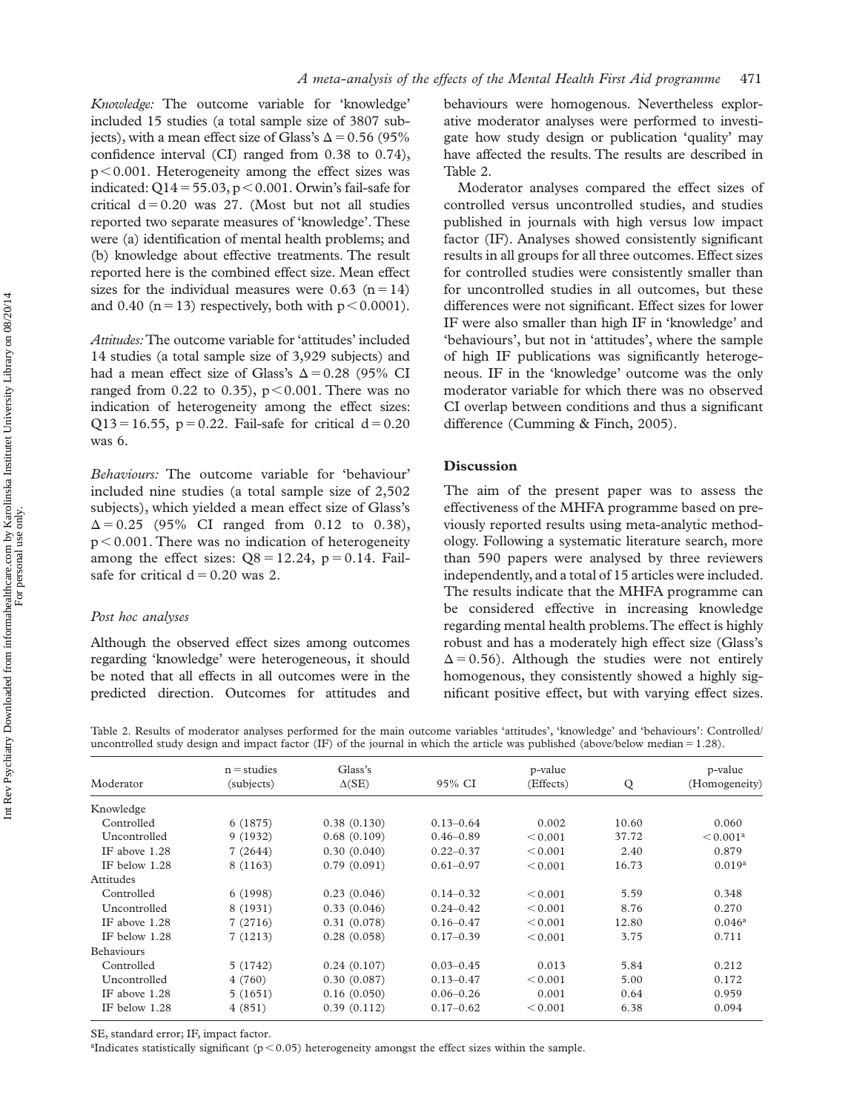*Knowledge:* The outcome variable for 'knowledge' included 15 studies (a total sample size of 3807 subjects), with a mean effect size of Glass's  $\Delta$  = 0.56 (95%) confidence interval (CI) ranged from  $0.38$  to  $0.74$ ),  $p < 0.001$ . Heterogeneity among the effect sizes was indicated:  $Q14 = 55.03$ ,  $p < 0.001$ . Orwin's fail-safe for critical  $d = 0.20$  was 27. (Most but not all studies reported two separate measures of 'knowledge'. These were (a) identification of mental health problems; and (b) knowledge about effective treatments. The result reported here is the combined effect size. Mean effect sizes for the individual measures were 0.63 ( $n = 14$ ) and 0.40 ( $n = 13$ ) respectively, both with  $p < 0.0001$ ).

*Attitudes:* The outcome variable for 'attitudes' included 14 studies (a total sample size of 3,929 subjects) and had a mean effect size of Glass's  $\Delta = 0.28$  (95% CI ranged from 0.22 to 0.35),  $p < 0.001$ . There was no indication of heterogeneity among the effect sizes:  $Q13 = 16.55$ , p = 0.22. Fail-safe for critical d = 0.20 was 6.

Behaviours: The outcome variable for 'behaviour' included nine studies (a total sample size of 2,502 subjects), which yielded a mean effect size of Glass's  $\Delta = 0.25$  (95% CI ranged from 0.12 to 0.38),  $p < 0.001$ . There was no indication of heterogeneity among the effect sizes:  $Q8 = 12.24$ ,  $p = 0.14$ . Failsafe for critical  $d = 0.20$  was 2.

## *Post hoc analyses*

Although the observed effect sizes among outcomes regarding 'knowledge' were heterogeneous, it should be noted that all effects in all outcomes were in the predicted direction. Outcomes for attitudes and

behaviours were homogenous. Nevertheless explorative moderator analyses were performed to investigate how study design or publication 'quality' may have affected the results. The results are described in Table 2.

Moderator analyses compared the effect sizes of controlled versus uncontrolled studies, and studies published in journals with high versus low impact factor (IF). Analyses showed consistently significant results in all groups for all three outcomes. Effect sizes for controlled studies were consistently smaller than for uncontrolled studies in all outcomes, but these differences were not significant. Effect sizes for lower IF were also smaller than high IF in 'knowledge' and 'behaviours', but not in 'attitudes', where the sample of high IF publications was significantly heterogeneous. IF in the 'knowledge' outcome was the only moderator variable for which there was no observed CI overlap between conditions and thus a significant difference (Cumming & Finch, 2005).

## **Discussion**

The aim of the present paper was to assess the effectiveness of the MHFA programme based on previously reported results using meta-analytic methodology. Following a systematic literature search, more than 590 papers were analysed by three reviewers independently, and a total of 15 articles were included. The results indicate that the MHFA programme can be considered effective in increasing knowledge regarding mental health problems. The effect is highly robust and has a moderately high effect size (Glass's  $\Delta$  = 0.56). Although the studies were not entirely homogenous, they consistently showed a highly significant positive effect, but with varying effect sizes.

Table 2. Results of moderator analyses performed for the main outcome variables 'attitudes', 'knowledge' and 'behaviours': Controlled/ uncontrolled study design and impact factor (IF) of the journal in which the article was published (above/below median  $= 1.28$ ).

|                   | $n =$ studies | Glass's       |               | p-value   | Q     | p-value<br>(Homogeneity) |
|-------------------|---------------|---------------|---------------|-----------|-------|--------------------------|
| Moderator         | (subjects)    | $\Delta$ (SE) | 95% CI        | (Effects) |       |                          |
| Knowledge         |               |               |               |           |       |                          |
| Controlled        | 6(1875)       | 0.38(0.130)   | $0.13 - 0.64$ | 0.002     | 10.60 | 0.060                    |
| Uncontrolled      | 9(1932)       | 0.68(0.109)   | $0.46 - 0.89$ | < 0.001   | 37.72 | < 0.001 <sup>a</sup>     |
| IF above 1.28     | 7(2644)       | 0.30(0.040)   | $0.22 - 0.37$ | < 0.001   | 2.40  | 0.879                    |
| IF below 1.28     | 8 (1163)      | 0.79(0.091)   | $0.61 - 0.97$ | < 0.001   | 16.73 | 0.019 <sup>a</sup>       |
| Attitudes         |               |               |               |           |       |                          |
| Controlled        | 6(1998)       | 0.23(0.046)   | $0.14 - 0.32$ | < 0.001   | 5.59  | 0.348                    |
| Uncontrolled      | 8 (1931)      | 0.33(0.046)   | $0.24 - 0.42$ | < 0.001   | 8.76  | 0.270                    |
| IF above 1.28     | 7(2716)       | 0.31(0.078)   | $0.16 - 0.47$ | < 0.001   | 12.80 | $0.046^a$                |
| IF below 1.28     | 7(1213)       | 0.28(0.058)   | $0.17 - 0.39$ | < 0.001   | 3.75  | 0.711                    |
| <b>Behaviours</b> |               |               |               |           |       |                          |
| Controlled        | 5(1742)       | 0.24(0.107)   | $0.03 - 0.45$ | 0.013     | 5.84  | 0.212                    |
| Uncontrolled      | 4(760)        | 0.30(0.087)   | $0.13 - 0.47$ | < 0.001   | 5.00  | 0.172                    |
| IF above 1.28     | 5(1651)       | 0.16(0.050)   | $0.06 - 0.26$ | 0.001     | 0.64  | 0.959                    |
| IF below 1.28     | 4(851)        | 0.39(0.112)   | $0.17 - 0.62$ | < 0.001   | 6.38  | 0.094                    |

SE, standard error; IF, impact factor.

<sup>a</sup>Indicates statistically significant ( $p < 0.05$ ) heterogeneity amongst the effect sizes within the sample.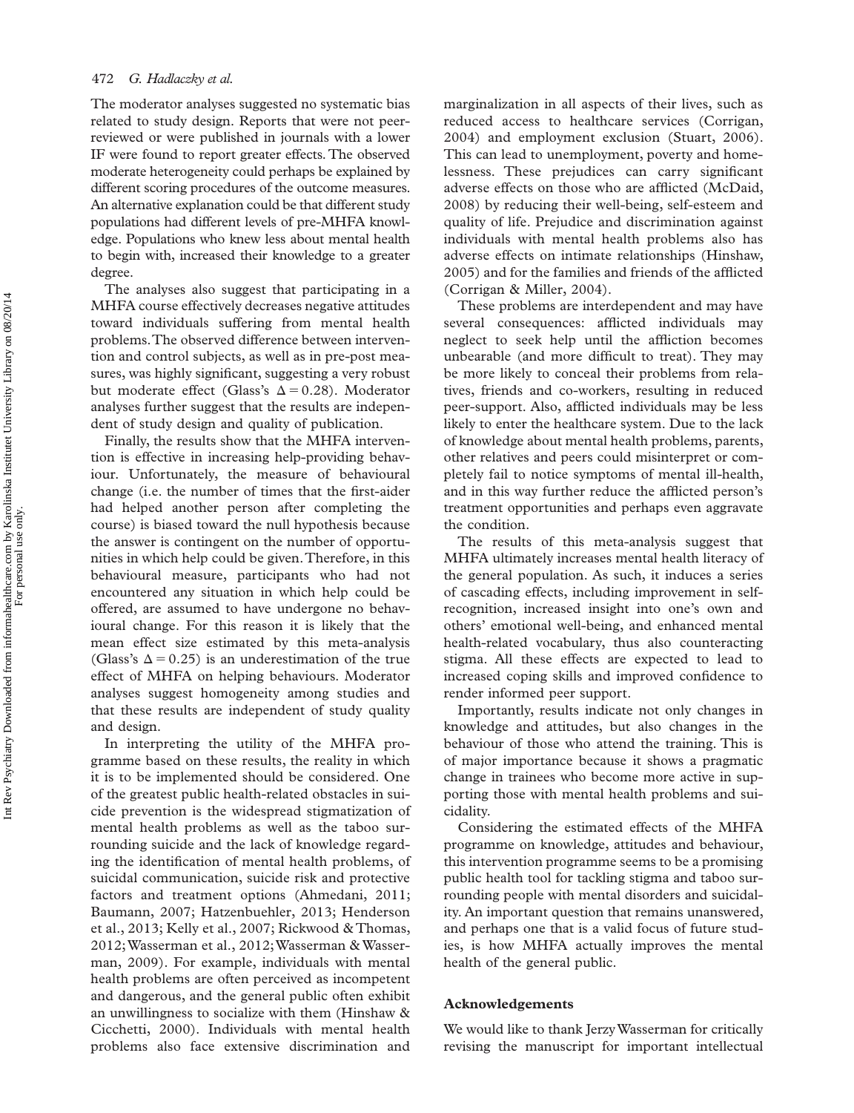The moderator analyses suggested no systematic bias related to study design. Reports that were not peerreviewed or were published in journals with a lower IF were found to report greater effects. The observed moderate heterogeneity could perhaps be explained by different scoring procedures of the outcome measures. An alternative explanation could be that different study populations had different levels of pre-MHFA knowledge. Populations who knew less about mental health to begin with, increased their knowledge to a greater degree.

The analyses also suggest that participating in a MHFA course effectively decreases negative attitudes toward individuals suffering from mental health problems. The observed difference between intervention and control subjects, as well as in pre-post measures, was highly significant, suggesting a very robust but moderate effect (Glass's  $\Delta = 0.28$ ). Moderator analyses further suggest that the results are independent of study design and quality of publication.

Finally, the results show that the MHFA intervention is effective in increasing help-providing behaviour. Unfortunately, the measure of behavioural change (*i.e.* the number of times that the first-aider had helped another person after completing the course) is biased toward the null hypothesis because the answer is contingent on the number of opportunities in which help could be given. Therefore, in this behavioural measure, participants who had not encountered any situation in which help could be offered, are assumed to have undergone no behavioural change. For this reason it is likely that the mean effect size estimated by this meta-analysis (Glass's  $\Delta$  = 0.25) is an underestimation of the true effect of MHFA on helping behaviours. Moderator analyses suggest homogeneity among studies and that these results are independent of study quality and design.

In interpreting the utility of the MHFA programme based on these results, the reality in which it is to be implemented should be considered. One of the greatest public health-related obstacles in suicide prevention is the widespread stigmatization of mental health problems as well as the taboo surrounding suicide and the lack of knowledge regarding the identification of mental health problems, of suicidal communication, suicide risk and protective factors and treatment options (Ahmedani, 2011; Baumann, 2007; Hatzenbuehler, 2013; Henderson et al., 2013; Kelly et al., 2007; Rickwood &Thomas, 2012; Wasserman et al., 2012; Wasserman & Wasserman, 2009). For example, individuals with mental health problems are often perceived as incompetent and dangerous, and the general public often exhibit an unwillingness to socialize with them (Hinshaw & Cicchetti, 2000). Individuals with mental health problems also face extensive discrimination and

marginalization in all aspects of their lives, such as reduced access to healthcare services (Corrigan, 2004) and employment exclusion (Stuart, 2006). This can lead to unemployment, poverty and homelessness. These prejudices can carry significant adverse effects on those who are afflicted (McDaid, 2008) by reducing their well-being, self-esteem and quality of life. Prejudice and discrimination against individuals with mental health problems also has adverse effects on intimate relationships (Hinshaw, 2005) and for the families and friends of the afflicted (Corrigan & Miller, 2004).

These problems are interdependent and may have several consequences: afflicted individuals may neglect to seek help until the affliction becomes unbearable (and more difficult to treat). They may be more likely to conceal their problems from relatives, friends and co-workers, resulting in reduced peer-support. Also, afflicted individuals may be less likely to enter the healthcare system. Due to the lack of knowledge about mental health problems, parents, other relatives and peers could misinterpret or completely fail to notice symptoms of mental ill-health, and in this way further reduce the afflicted person's treatment opportunities and perhaps even aggravate the condition.

The results of this meta-analysis suggest that MHFA ultimately increases mental health literacy of the general population. As such, it induces a series of cascading effects, including improvement in selfrecognition, increased insight into one's own and others' emotional well-being, and enhanced mental health-related vocabulary, thus also counteracting stigma. All these effects are expected to lead to increased coping skills and improved confidence to render informed peer support.

Importantly, results indicate not only changes in knowledge and attitudes, but also changes in the behaviour of those who attend the training. This is of major importance because it shows a pragmatic change in trainees who become more active in supporting those with mental health problems and suicidality.

Considering the estimated effects of the MHFA programme on knowledge, attitudes and behaviour, this intervention programme seems to be a promising public health tool for tackling stigma and taboo surrounding people with mental disorders and suicidality. An important question that remains unanswered, and perhaps one that is a valid focus of future studies, is how MHFA actually improves the mental health of the general public.

#### **Acknowledgements**

We would like to thank Jerzy Wasserman for critically revising the manuscript for important intellectual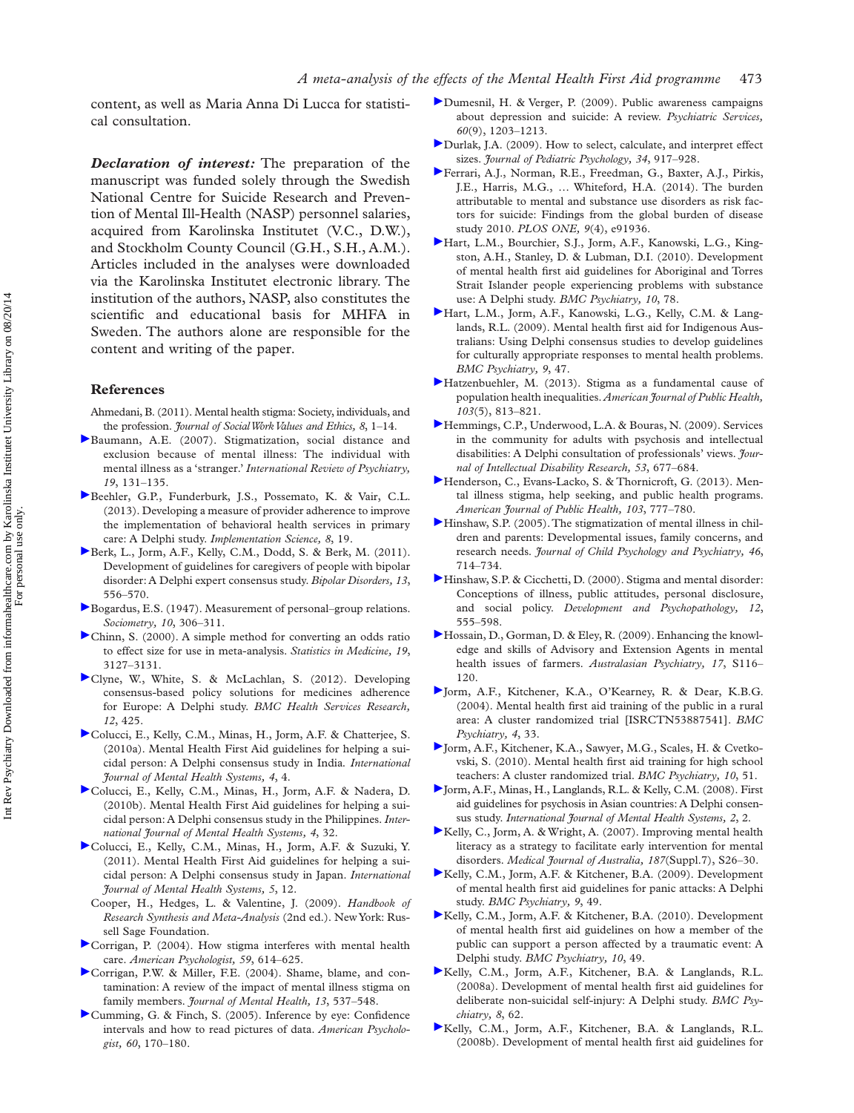content, as well as Maria Anna Di Lucca for statistical consultation.

*Declaration of interest:* The preparation of the manuscript was funded solely through the Swedish National Centre for Suicide Research and Prevention of Mental Ill-Health (NASP) personnel salaries, acquired from Karolinska Institutet (V.C., D.W.), and Stockholm County Council (G.H., S.H., A.M.). Articles included in the analyses were downloaded via the Karolinska Institutet electronic library. The institution of the authors, NASP, also constitutes the scientific and educational basis for MHFA in Sweden. The authors alone are responsible for the content and writing of the paper.

#### **References**

Ahmedani, B. (2011). Mental health stigma: Society, individuals, and the profession. *Journal of Social Work Values and Ethics*, 8, 1-14.

- [B](http://informahealthcare.com/action/showLinks?system=10.1080%2F09540260701278739&isi=000246664400005)aumann, A.E. (2007). Stigmatization, social distance and exclusion because of mental illness: The individual with mental illness as a 'stranger.' *International Review of Psychiatry*, *19*, 131 – 135 .
- [B](http://informahealthcare.com/action/showLinks?crossref=10.1186%2F1748-5908-8-19&isi=000318416200002)eehler, G.P., Funderburk, J.S., Possemato, K. & Vair, C.L. (2013) . Developing a measure of provider adherence to improve the implementation of behavioral health services in primary care: A Delphi study. *Implementation Science*, 8, 19.
- [B](http://informahealthcare.com/action/showLinks?crossref=10.1111%2Fj.1399-5618.2011.00942.x&isi=000297029600011)erk, L., Jorm, A.F., Kelly, C.M., Dodd, S. & Berk, M. (2011). Development of guidelines for caregivers of people with bipolar disorder: A Delphi expert consensus study . *Bipolar Disorders, 13*, 556 – 570.
- [B](http://informahealthcare.com/action/showLinks?crossref=10.2307%2F2785570)ogardus, E.S. (1947). Measurement of personal-group relations. *Sociometry,* 10, 306-311.
- [C](http://informahealthcare.com/action/showLinks?crossref=10.1002%2F1097-0258%2820001130%2919%3A22%3C3127%3A%3AAID-SIM784%3E3.0.CO%3B2-M&isi=000165290100008)hinn, S. (2000). A simple method for converting an odds ratio to effect size for use in meta-analysis . *Statistics in Medicine, 19*, 3127 – 3131.
- [C](http://informahealthcare.com/action/showLinks?crossref=10.1186%2F1472-6963-12-425&isi=000313034900001)lyne, W., White, S. & McLachlan, S. (2012). Developing consensus-based policy solutions for medicines adherence for Europe: A Delphi study. *BMC Health Services Research*, *12*, 425 .
- [C](http://informahealthcare.com/action/showLinks?crossref=10.1186%2F1752-4458-4-4)olucci, E., Kelly, C.M., Minas, H., Jorm, A.F. & Chatterjee, S. (2010a) . Mental Health First Aid guidelines for helping a suicidal person: A Delphi consensus study in India *. International Journal of Mental Health Systems, 4*, 4 .
- [C](http://informahealthcare.com/action/showLinks?crossref=10.1186%2F1752-4458-4-32)olucci, E., Kelly, C.M., Minas, H., Jorm, A.F. & Nadera, D. (2010b). Mental Health First Aid guidelines for helping a suicidal person: A Delphi consensus study in the Philippines . *International Journal of Mental Health Systems, 4*, 32 .
- [C](http://informahealthcare.com/action/showLinks?crossref=10.1186%2F1752-4458-5-12)olucci, E., Kelly, C.M., Minas, H., Jorm, A.F. & Suzuki, Y. (2011). Mental Health First Aid guidelines for helping a suicidal person: A Delphi consensus study in Japan. *International Journal of Mental Health Systems, 5*, 12 .
	- Cooper, H., Hedges, L. & Valentine, J. (2009). *Handbook of Research Synthesis and Meta-Analysis* (2nd ed.) . New York: Russell Sage Foundation.
- $\blacktriangleright$  [C](http://informahealthcare.com/action/showLinks?crossref=10.1037%2F0003-066X.59.7.614&isi=000224284200003)orrigan, P. (2004). How stigma interferes with mental health care. *American Psychologist*, 59, 614-625.
- [C](http://informahealthcare.com/action/showLinks?system=10.1080%2F09638230400017004)orrigan, P.W. & Miller, F.E. (2004). Shame, blame, and contamination: A review of the impact of mental illness stigma on family members. *Journal of Mental Health*, 13, 537-548.
- [C](http://informahealthcare.com/action/showLinks?crossref=10.1037%2F0003-066X.60.2.170&isi=000227289300003)umming, G. & Finch, S. (2005). Inference by eye: Confidence intervals and how to read pictures of data . *American Psycholo*gist, 60, 170-180.
- [D](http://informahealthcare.com/action/showLinks?crossref=10.1176%2Fappi.ps.60.9.1203&isi=000269438700009)umesnil, H. & Verger, P. (2009). Public awareness campaigns about depression and suicide: A review . *Psychiatric Services,*  $60(9)$ , 1203-1213.
- [D](http://informahealthcare.com/action/showLinks?crossref=10.1093%2Fjpepsy%2Fjsp004&isi=000269997800002)urlak, J.A. (2009). How to select, calculate, and interpret effect sizes. *Journal of Pediatric Psychology*, 34, 917-928.
- [F](http://informahealthcare.com/action/showLinks?crossref=10.1371%2Fjournal.pone.0091936&isi=000334103000011)errari, A.J., Norman, R.E., Freedman, G., Baxter, A.J., Pirkis, J.E., Harris, M.G., ... Whiteford, H.A. (2014). The burden attributable to mental and substance use disorders as risk factors for suicide: Findings from the global burden of disease study 2010. *PLOS ONE*, 9(4), e91936.
- [H](http://informahealthcare.com/action/showLinks?crossref=10.1186%2F1471-244X-10-78&isi=000283444500001)art, L.M., Bourchier, S.J., Jorm, A.F., Kanowski, L.G., Kingston, A.H., Stanley, D. & Lubman, D.I. (2010). Development of mental health first aid guidelines for Aboriginal and Torres Strait Islander people experiencing problems with substance use: A Delphi study. *BMC Psychiatry*, 10, 78.
- [H](http://informahealthcare.com/action/showLinks?crossref=10.1186%2F1471-244X-9-47&isi=000269618500001)art, L.M., Jorm, A.F., Kanowski, L.G., Kelly, C.M. & Langlands, R.L. (2009). Mental health first aid for Indigenous Australians: Using Delphi consensus studies to develop guidelines for culturally appropriate responses to mental health problems. *BMC Psychiatry, 9*, 47 .
- [H](http://informahealthcare.com/action/showLinks?crossref=10.2105%2FAJPH.2012.301069&isi=000330949300026)atzenbuehler, M. (2013). Stigma as a fundamental cause of population health inequalities . *American Journal of Public Health, 103*(5), 813-821.
- [H](http://informahealthcare.com/action/showLinks?crossref=10.1111%2Fj.1365-2788.2008.01146.x&isi=000266923600009)emmings, C.P., Underwood, L.A. & Bouras, N. (2009). Services in the community for adults with psychosis and intellectual disabilities: A Delphi consultation of professionals' views. *Journal of Intellectual Disability Research, 53*, 677 – 684 .
- [H](http://informahealthcare.com/action/showLinks?crossref=10.2105%2FAJPH.2012.301056&isi=000330949300021)enderson, C., Evans-Lacko, S. & Thornicroft, G. (2013). Mental illness stigma, help seeking, and public health programs. *American Journal of Public Health, 103*, 777 – 780 .
- [H](http://informahealthcare.com/action/showLinks?crossref=10.1111%2Fj.1469-7610.2005.01456.x&isi=000230006100004)inshaw, S.P. (2005). The stigmatization of mental illness in children and parents: Developmental issues, family concerns, and research needs . *Journal of Child Psychology and Psychiatry, 46*, 714 – 734
- [H](http://informahealthcare.com/action/showLinks?crossref=10.1017%2FS0954579400004028&isi=000166304500002)inshaw, S.P. & Cicchetti, D. (2000). Stigma and mental disorder: Conceptions of illness, public attitudes, personal disclosure, and social policy. *Development and Psychopathology*, 12, 555-598
- [H](http://informahealthcare.com/action/showLinks?system=10.1080%2F10398560902948365)ossain, D., Gorman, D. & Eley, R. (2009). Enhancing the knowledge and skills of Advisory and Extension Agents in mental health issues of farmers. Australasian Psychiatry, 17, S116-120 .
- [J](http://informahealthcare.com/action/showLinks?crossref=10.1186%2F1471-244X-4-33&isi=000208280100033)orm, A.F., Kitchener, K.A., O'Kearney, R. & Dear, K.B.G. (2004). Mental health first aid training of the public in a rural area: A cluster randomized trial [ISRCTN53887541] . *BMC Psychiatry, 4*, 33 .
- [J](http://informahealthcare.com/action/showLinks?crossref=10.1186%2F1471-244X-10-51&isi=000280843000001)orm, A.F., Kitchener, K.A., Sawyer, M.G., Scales, H. & Cvetkovski, S. (2010). Mental health first aid training for high school teachers: A cluster randomized trial . *BMC Psychiatry, 10*, 51 .
- [J](http://informahealthcare.com/action/showLinks?crossref=10.1186%2F1752-4458-2-2)orm, A.F., Minas, H., Langlands, R.L. & Kelly, C.M. (2008). First aid guidelines for psychosis in Asian countries: A Delphi consensus study. *International Journal of Mental Health Systems*, 2, 2.
- [K](http://informahealthcare.com/action/showLinks?isi=000251241000007)elly, C., Jorm, A. & Wright, A. (2007). Improving mental health literacy as a strategy to facilitate early intervention for mental disorders. *Medical Journal of Australia*, 187(Suppl.7), S26-30.
- [K](http://informahealthcare.com/action/showLinks?crossref=10.1186%2F1471-244X-9-49&isi=000269618800001)elly, C.M., Jorm, A.F. & Kitchener, B.A. (2009). Development of mental health first aid guidelines for panic attacks: A Delphi study. *BMC Psychiatry*, 9, 49.
- [K](http://informahealthcare.com/action/showLinks?crossref=10.1186%2F1471-244X-10-49&isi=000279967000001)elly, C.M., Jorm, A.F. & Kitchener, B.A. (2010). Development of mental health first aid guidelines on how a member of the public can support a person affected by a traumatic event: A Delphi study. *BMC Psychiatry*, 10, 49.
- [K](http://informahealthcare.com/action/showLinks?crossref=10.1186%2F1471-244X-8-62&isi=000258793800001)elly, C.M., Jorm, A.F., Kitchener, B.A. & Langlands, R.L. (2008a). Development of mental health first aid guidelines for deliberate non-suicidal self-injury: A Delphi study. *BMC Psychiatry, 8*, 62 .
- [K](http://informahealthcare.com/action/showLinks?crossref=10.1186%2F1471-244X-8-17&isi=000255174000001)elly, C.M., Jorm, A.F., Kitchener, B.A. & Langlands, R.L. (2008b). Development of mental health first aid guidelines for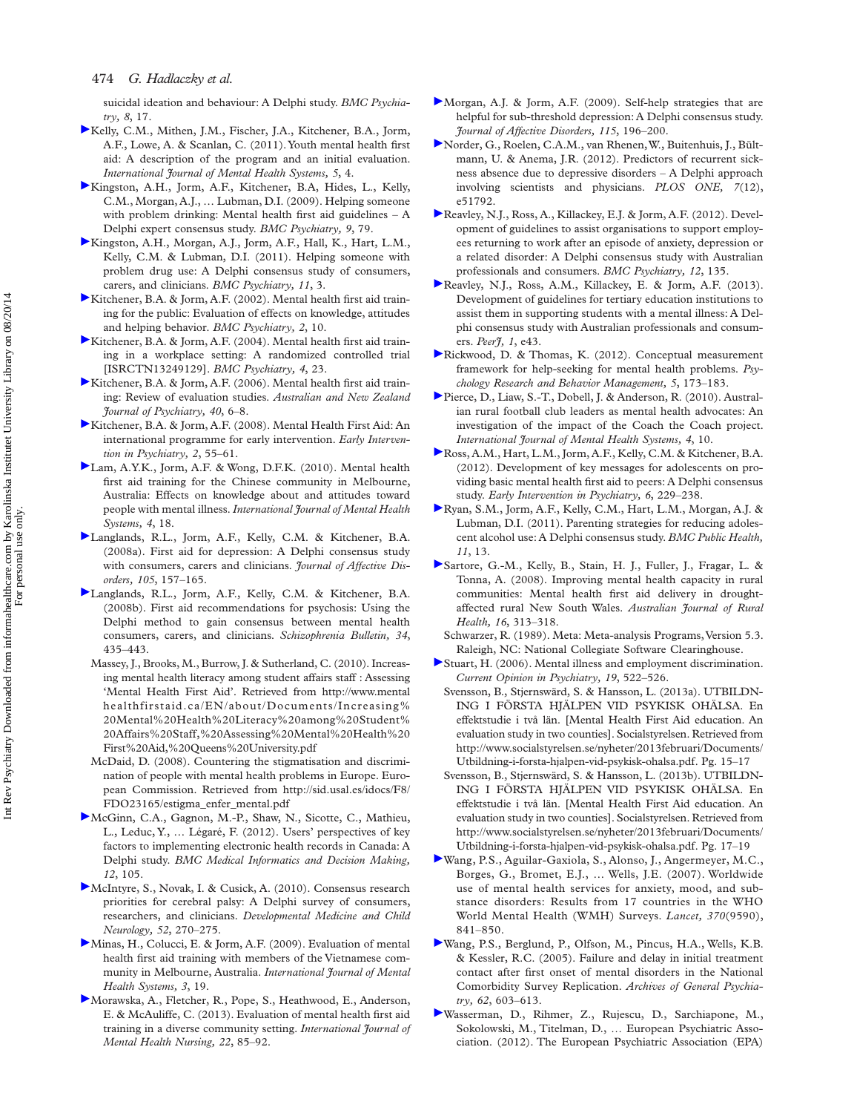suicidal ideation and behaviour: A Delphi study. *BMC Psychiatry, 8*, 17 .

- [K](http://informahealthcare.com/action/showLinks?crossref=10.1186%2F1752-4458-5-4)elly, C.M., Mithen, J.M., Fischer, J.A., Kitchener, B.A., Jorm, A.F., Lowe, A. & Scanlan, C. (2011). Youth mental health first aid: A description of the program and an initial evaluation. *International Journal of Mental Health Systems, 5*, 4 .
- [K](http://informahealthcare.com/action/showLinks?crossref=10.1186%2F1471-244X-9-79&isi=000273143300001)ingston, A.H., Jorm, A.F., Kitchener, B.A, Hides, L., Kelly, C.M., Morgan, A.J., ... Lubman, D.I. (2009). Helping someone with problem drinking: Mental health first aid guidelines  $- A$ Delphi expert consensus study . *BMC Psychiatry, 9*, 79 .
- [K](http://informahealthcare.com/action/showLinks?crossref=10.1186%2F1471-244X-11-3&isi=000286219500001)ingston, A.H., Morgan, A.J., Jorm, A.F., Hall, K., Hart, L.M., Kelly, C.M. & Lubman, D.I. (2011). Helping someone with problem drug use: A Delphi consensus study of consumers, carers, and clinicians . *BMC Psychiatry, 11*, 3 .
- [K](http://informahealthcare.com/action/showLinks?crossref=10.1186%2F1471-244X-2-10&isi=000208279900010)itchener, B.A. & Jorm, A.F. (2002). Mental health first aid training for the public: Evaluation of effects on knowledge, attitudes and helping behavior . *BMC Psychiatry, 2*, 10 .
- [K](http://informahealthcare.com/action/showLinks?crossref=10.1186%2F1471-244X-4-23&isi=000208280100023)itchener, B.A. & Jorm, A.F. (2004). Mental health first aid training in a workplace setting: A randomized controlled trial [ISRCTN13249129] . *BMC Psychiatry, 4*, 23 .
- [K](http://informahealthcare.com/action/showLinks?system=10.1080%2Fj.1440-1614.2006.01735.x&isi=000233777500003)itchener, B.A. & Jorm, A.F. (2006). Mental health first aid training: Review of evaluation studies . *Australian and New Zealand Journal of Psychiatry, 40, 6-8.*
- [K](http://informahealthcare.com/action/showLinks?crossref=10.1111%2Fj.1751-7893.2007.00056.x&isi=000266340900010)itchener, B.A. & Jorm, A.F. (2008). Mental Health First Aid: An international programme for early intervention . *Early Intervention in Psychiatry*, 2, 55-61.
- [L](http://informahealthcare.com/action/showLinks?crossref=10.1186%2F1752-4458-4-18)am, A.Y.K., Jorm, A.F. & Wong, D.F.K. (2010). Mental health first aid training for the Chinese community in Melbourne, Australia: Effects on knowledge about and attitudes toward people with mental illness . *International Journal of Mental Health Systems, 4*, 18 .
- [L](http://informahealthcare.com/action/showLinks?crossref=10.1016%2Fj.jad.2007.05.004&isi=000252905200017)anglands, R.L., Jorm, A.F., Kelly, C.M. & Kitchener, B.A. (2008a). First aid for depression: A Delphi consensus study with consumers, carers and clinicians . *Journal of Affective Disorders, 105*, 157 – 165 .
- [L](http://informahealthcare.com/action/showLinks?crossref=10.1093%2Fschbul%2Fsbm099&isi=000255156500007)anglands, R.L., Jorm, A.F., Kelly, C.M. & Kitchener, B.A. (2008b) . First aid recommendations for psychosis: Using the Delphi method to gain consensus between mental health consumers, carers, and clinicians . *Schizophrenia Bulletin, 34*, 435 – 443 .
- Massey, J., Brooks, M., Burrow, J. & Sutherland, C. (2010). Increasing mental health literacy among student affairs staff : Assessing 'Mental Health First Aid'. Retrieved from http://www.mental healthfirstaid.ca/EN/about/Documents/Increasing% 20Mental%20Health%20Literacy%20among%20Student% 20Affairs%20Staff,%20Assessing%20Mental%20Health%20 First%20Aid,%20Queens%20University.pdf
- McDaid, D. (2008). Countering the stigmatisation and discrimination of people with mental health problems in Europe. European Commission. Retrieved from http://sid.usal.es/idocs/F8/ FDO23165/estigma\_enfer\_mental.pdf
- [M](http://informahealthcare.com/action/showLinks?crossref=10.1186%2F1472-6947-12-105&isi=000310150200001)cGinn, C.A., Gagnon, M.-P., Shaw, N., Sicotte, C., Mathieu, L., Leduc, Y., ... Légaré, F. (2012). Users' perspectives of key factors to implementing electronic health records in Canada: A Delphi study. *BMC Medical Informatics and Decision Making*, *12*, 105.
- [M](http://informahealthcare.com/action/showLinks?crossref=10.1111%2Fj.1469-8749.2009.03358.x&isi=000274307500015)cIntyre, S., Novak, I. & Cusick, A. (2010). Consensus research priorities for cerebral palsy: A Delphi survey of consumers, researchers, and clinicians . *Developmental Medicine and Child Neurology, 52*, 270 – 275 .
- [M](http://informahealthcare.com/action/showLinks?crossref=10.1186%2F1752-4458-3-19)inas, H., Colucci, E. & Jorm, A.F. (2009). Evaluation of mental health first aid training with members of the Vietnamese community in Melbourne, Australia . *International Journal of Mental Health Systems, 3*, 19 .
- [M](http://informahealthcare.com/action/showLinks?crossref=10.1111%2Fj.1447-0349.2012.00844.x&isi=000313751700011)orawska, A., Fletcher, R., Pope, S., Heathwood, E., Anderson, E. & McAuliffe, C. (2013). Evaluation of mental health first aid training in a diverse community setting . *International Journal of Mental Health Nursing, 22, 85-92.*
- [M](http://informahealthcare.com/action/showLinks?crossref=10.1016%2Fj.jad.2008.08.004&isi=000265319900024)organ, A.J. & Jorm, A.F.  $(2009)$ . Self-help strategies that are helpful for sub-threshold depression: A Delphi consensus study. *Journal of Affective Disorders, 115*, 196 – 200 .
- [N](http://informahealthcare.com/action/showLinks?crossref=10.1371%2Fjournal.pone.0051792&isi=000312794500047)order, G., Roelen, C.A.M., van Rhenen, W., Buitenhuis, J., Bültmann, U. & Anema, J.R. (2012). Predictors of recurrent sickness absence due to depressive disorders –A Delphi approach involving scientists and physicians. *PLOS ONE*, 7(12), e51792 .
- [R](http://informahealthcare.com/action/showLinks?crossref=10.1186%2F1471-244X-12-135&isi=000314297000001)eavley, N.J., Ross, A., Killackey, E.J. & Jorm, A.F. (2012). Development of guidelines to assist organisations to support employees returning to work after an episode of anxiety, depression or a related disorder: A Delphi consensus study with Australian professionals and consumers . *BMC Psychiatry, 12*, 135 .
- [R](http://informahealthcare.com/action/showLinks?crossref=10.7717%2Fpeerj.43)eavley, N.J., Ross, A.M., Killackey, E. & Jorm, A.F. (2013). Development of guidelines for tertiary education institutions to assist them in supporting students with a mental illness: A Delphi consensus study with Australian professionals and consumers. *Peerf*, 1, e43.
- [R](http://informahealthcare.com/action/showLinks?crossref=10.2147%2FPRBM.S38707)ickwood, D. & Thomas, K. (2012). Conceptual measurement framework for help-seeking for mental health problems. Psy*chology Research and Behavior Management, 5*, 173 – 183 .
- [P](http://informahealthcare.com/action/showLinks?crossref=10.1186%2F1752-4458-4-10)ierce, D., Liaw, S.-T., Dobell, J. & Anderson, R. (2010). Australian rural football club leaders as mental health advocates: An investigation of the impact of the Coach the Coach project. *International Journal of Mental Health Systems, 4*, 10 .
- [R](http://informahealthcare.com/action/showLinks?crossref=10.1111%2Fj.1751-7893.2011.00331.x&isi=000306647100002)oss, A.M., Hart, L.M., Jorm, A.F., Kelly, C.M. & Kitchener, B.A. (2012) . Development of key messages for adolescents on providing basic mental health first aid to peers: A Delphi consensus study. *Early Intervention in Psychiatry*, 6, 229-238.
- [R](http://informahealthcare.com/action/showLinks?crossref=10.1186%2F1471-2458-11-13&isi=000286338600002)yan, S.M., Jorm, A.F., Kelly, C.M., Hart, L.M., Morgan, A.J. & Lubman, D.I. (2011). Parenting strategies for reducing adolescent alcohol use: A Delphi consensus study . *BMC Public Health, 11*, 13 .
- [S](http://informahealthcare.com/action/showLinks?crossref=10.1111%2Fj.1440-1584.2008.01005.x&isi=000259145700011)artore, G.-M., Kelly, B., Stain, H. J., Fuller, J., Fragar, L. & Tonna, A. (2008). Improving mental health capacity in rural communities: Mental health first aid delivery in droughtaffected rural New South Wales . *Australian Journal of Rural*  Health, 16, 313-318.
	- Schwarzer, R. (1989). Meta: Meta-analysis Programs, Version 5.3. Raleigh, NC: National Collegiate Software Clearinghouse .
- [S](http://informahealthcare.com/action/showLinks?crossref=10.1097%2F01.yco.0000238482.27270.5d&isi=000240306500013)tuart, H. (2006). Mental illness and employment discrimination. *Current Opinion in Psychiatry, 19, 522-526.*
- Svensson, B., Stjernswärd, S. & Hansson, L. (2013a). UTBILDN-ING I FÖRSTA HJÄLPEN VID PSYKISK OHÄLSA. En effektstudie i två län. [Mental Health First Aid education. An evaluation study in two counties] . Socialstyrelsen. Retrieved from http://www.socialstyrelsen.se/nyheter/2013februari/Documents/ Utbildning-i-forsta-hjalpen-vid-psykisk-ohalsa.pdf. Pg. 15-17
- Svensson, B., Stjernswärd, S. & Hansson, L. (2013b). UTBILDN-ING I FÖRSTA HJÄLPEN VID PSYKISK OHÄLSA. En effektstudie i två län. [Mental Health First Aid education. An evaluation study in two counties] . Socialstyrelsen. Retrieved from http://www.socialstyrelsen.se/nyheter/2013februari/Documents/ Utbildning-i-forsta-hjalpen-vid-psykisk-ohalsa.pdf. Pg. 17-19
- [W](http://informahealthcare.com/action/showLinks?crossref=10.1016%2FS0140-6736%2807%2961414-7&isi=000249733300029)ang, P.S., Aguilar-Gaxiola, S., Alonso, J., Angermeyer, M.C., Borges, G., Bromet, E.J., ... Wells, J.E. (2007). Worldwide use of mental health services for anxiety, mood, and substance disorders: Results from 17 countries in the WHO World Mental Health (WMH) Surveys. Lancet, 370(9590),  $841 - 850$
- [W](http://informahealthcare.com/action/showLinks?crossref=10.1001%2Farchpsyc.62.6.603&isi=000229628400004)ang, P.S., Berglund, P., Olfson, M., Pincus, H.A., Wells, K.B. & Kessler, R.C. (2005). Failure and delay in initial treatment contact after first onset of mental disorders in the National Comorbidity Survey Replication . *Archives of General Psychia*try, 62, 603-613.
- [W](http://informahealthcare.com/action/showLinks?crossref=10.1016%2Fj.eurpsy.2011.06.003&isi=000300397000006)asserman, D., Rihmer, Z., Rujescu, D., Sarchiapone, M., Sokolowski, M., Titelman, D., ... European Psychiatric Association . (2012) . The European Psychiatric Association (EPA)